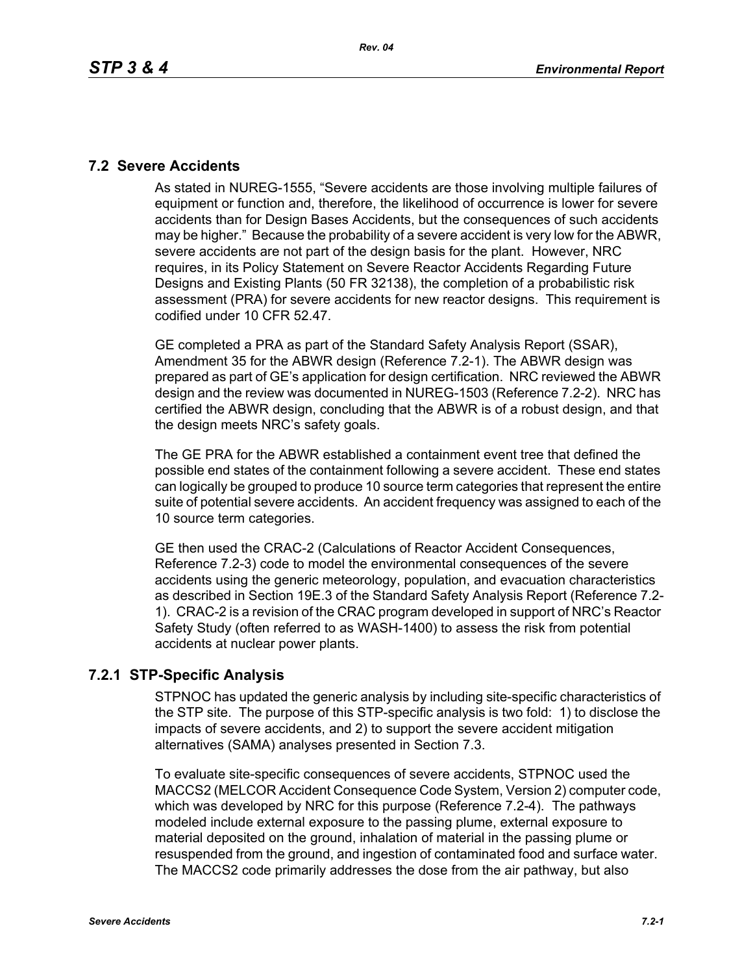#### **7.2 Severe Accidents**

As stated in NUREG-1555, "Severe accidents are those involving multiple failures of equipment or function and, therefore, the likelihood of occurrence is lower for severe accidents than for Design Bases Accidents, but the consequences of such accidents may be higher." Because the probability of a severe accident is very low for the ABWR, severe accidents are not part of the design basis for the plant. However, NRC requires, in its Policy Statement on Severe Reactor Accidents Regarding Future Designs and Existing Plants (50 FR 32138), the completion of a probabilistic risk assessment (PRA) for severe accidents for new reactor designs. This requirement is codified under 10 CFR 52.47.

GE completed a PRA as part of the Standard Safety Analysis Report (SSAR), Amendment 35 for the ABWR design (Reference 7.2-1). The ABWR design was prepared as part of GE's application for design certification. NRC reviewed the ABWR design and the review was documented in NUREG-1503 (Reference 7.2-2). NRC has certified the ABWR design, concluding that the ABWR is of a robust design, and that the design meets NRC's safety goals.

The GE PRA for the ABWR established a containment event tree that defined the possible end states of the containment following a severe accident. These end states can logically be grouped to produce 10 source term categories that represent the entire suite of potential severe accidents. An accident frequency was assigned to each of the 10 source term categories.

GE then used the CRAC-2 (Calculations of Reactor Accident Consequences, Reference 7.2-3) code to model the environmental consequences of the severe accidents using the generic meteorology, population, and evacuation characteristics as described in Section 19E.3 of the Standard Safety Analysis Report (Reference 7.2- 1). CRAC-2 is a revision of the CRAC program developed in support of NRC's Reactor Safety Study (often referred to as WASH-1400) to assess the risk from potential accidents at nuclear power plants.

### **7.2.1 STP-Specific Analysis**

STPNOC has updated the generic analysis by including site-specific characteristics of the STP site. The purpose of this STP-specific analysis is two fold: 1) to disclose the impacts of severe accidents, and 2) to support the severe accident mitigation alternatives (SAMA) analyses presented in Section 7.3.

To evaluate site-specific consequences of severe accidents, STPNOC used the MACCS2 (MELCOR Accident Consequence Code System, Version 2) computer code, which was developed by NRC for this purpose (Reference 7.2-4). The pathways modeled include external exposure to the passing plume, external exposure to material deposited on the ground, inhalation of material in the passing plume or resuspended from the ground, and ingestion of contaminated food and surface water. The MACCS2 code primarily addresses the dose from the air pathway, but also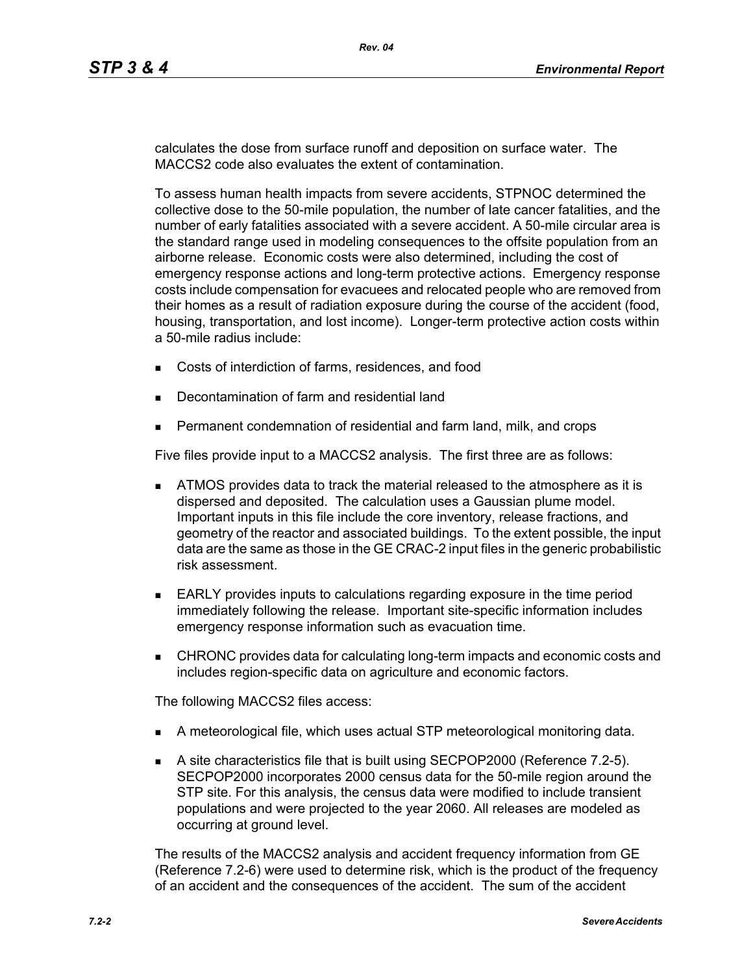calculates the dose from surface runoff and deposition on surface water. The MACCS2 code also evaluates the extent of contamination.

To assess human health impacts from severe accidents, STPNOC determined the collective dose to the 50-mile population, the number of late cancer fatalities, and the number of early fatalities associated with a severe accident. A 50-mile circular area is the standard range used in modeling consequences to the offsite population from an airborne release. Economic costs were also determined, including the cost of emergency response actions and long-term protective actions. Emergency response costs include compensation for evacuees and relocated people who are removed from their homes as a result of radiation exposure during the course of the accident (food, housing, transportation, and lost income). Longer-term protective action costs within a 50-mile radius include:

- Costs of interdiction of farms, residences, and food
- Decontamination of farm and residential land
- Permanent condemnation of residential and farm land, milk, and crops

Five files provide input to a MACCS2 analysis. The first three are as follows:

- **ATMOS** provides data to track the material released to the atmosphere as it is dispersed and deposited. The calculation uses a Gaussian plume model. Important inputs in this file include the core inventory, release fractions, and geometry of the reactor and associated buildings. To the extent possible, the input data are the same as those in the GE CRAC-2 input files in the generic probabilistic risk assessment.
- **EARLY** provides inputs to calculations regarding exposure in the time period immediately following the release. Important site-specific information includes emergency response information such as evacuation time.
- CHRONC provides data for calculating long-term impacts and economic costs and includes region-specific data on agriculture and economic factors.

The following MACCS2 files access:

- A meteorological file, which uses actual STP meteorological monitoring data.
- A site characteristics file that is built using SECPOP2000 (Reference 7.2-5). SECPOP2000 incorporates 2000 census data for the 50-mile region around the STP site. For this analysis, the census data were modified to include transient populations and were projected to the year 2060. All releases are modeled as occurring at ground level.

The results of the MACCS2 analysis and accident frequency information from GE (Reference 7.2-6) were used to determine risk, which is the product of the frequency of an accident and the consequences of the accident. The sum of the accident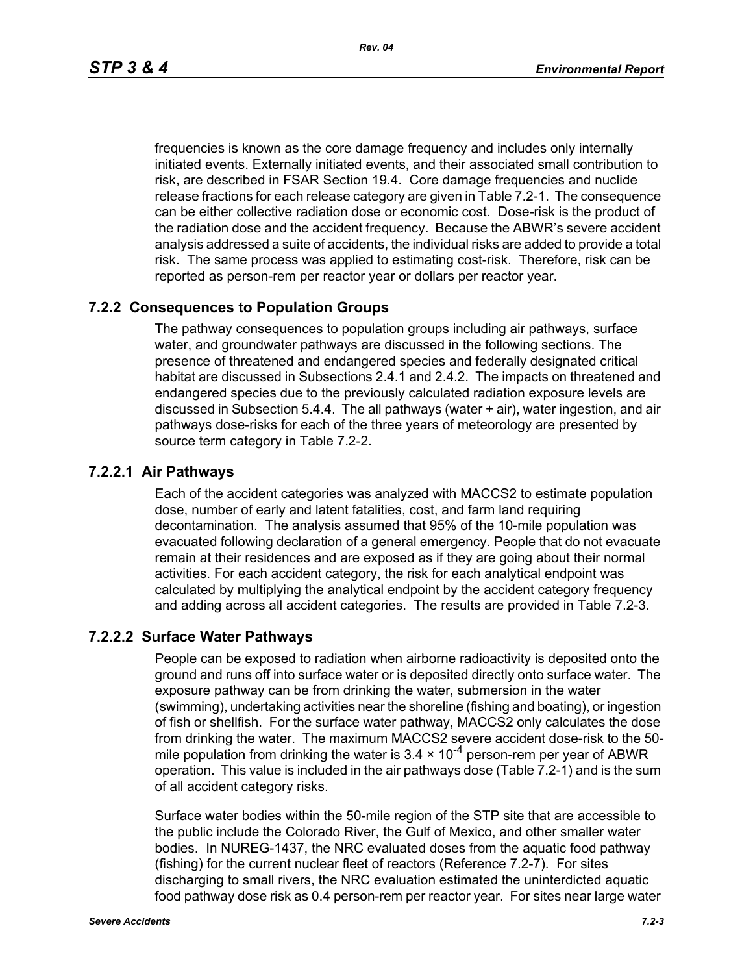frequencies is known as the core damage frequency and includes only internally initiated events. Externally initiated events, and their associated small contribution to risk, are described in FSAR Section 19.4. Core damage frequencies and nuclide release fractions for each release category are given in Table 7.2-1. The consequence can be either collective radiation dose or economic cost. Dose-risk is the product of the radiation dose and the accident frequency. Because the ABWR's severe accident analysis addressed a suite of accidents, the individual risks are added to provide a total risk. The same process was applied to estimating cost-risk. Therefore, risk can be reported as person-rem per reactor year or dollars per reactor year.

#### **7.2.2 Consequences to Population Groups**

The pathway consequences to population groups including air pathways, surface water, and groundwater pathways are discussed in the following sections. The presence of threatened and endangered species and federally designated critical habitat are discussed in Subsections 2.4.1 and 2.4.2. The impacts on threatened and endangered species due to the previously calculated radiation exposure levels are discussed in Subsection 5.4.4. The all pathways (water + air), water ingestion, and air pathways dose-risks for each of the three years of meteorology are presented by source term category in Table 7.2-2.

#### **7.2.2.1 Air Pathways**

Each of the accident categories was analyzed with MACCS2 to estimate population dose, number of early and latent fatalities, cost, and farm land requiring decontamination. The analysis assumed that 95% of the 10-mile population was evacuated following declaration of a general emergency. People that do not evacuate remain at their residences and are exposed as if they are going about their normal activities. For each accident category, the risk for each analytical endpoint was calculated by multiplying the analytical endpoint by the accident category frequency and adding across all accident categories. The results are provided in Table 7.2-3.

#### **7.2.2.2 Surface Water Pathways**

People can be exposed to radiation when airborne radioactivity is deposited onto the ground and runs off into surface water or is deposited directly onto surface water. The exposure pathway can be from drinking the water, submersion in the water (swimming), undertaking activities near the shoreline (fishing and boating), or ingestion of fish or shellfish. For the surface water pathway, MACCS2 only calculates the dose from drinking the water. The maximum MACCS2 severe accident dose-risk to the 50 mile population from drinking the water is  $3.4 \times 10^{-4}$  person-rem per year of ABWR operation. This value is included in the air pathways dose (Table 7.2-1) and is the sum of all accident category risks.

Surface water bodies within the 50-mile region of the STP site that are accessible to the public include the Colorado River, the Gulf of Mexico, and other smaller water bodies. In NUREG-1437, the NRC evaluated doses from the aquatic food pathway (fishing) for the current nuclear fleet of reactors (Reference 7.2-7). For sites discharging to small rivers, the NRC evaluation estimated the uninterdicted aquatic food pathway dose risk as 0.4 person-rem per reactor year. For sites near large water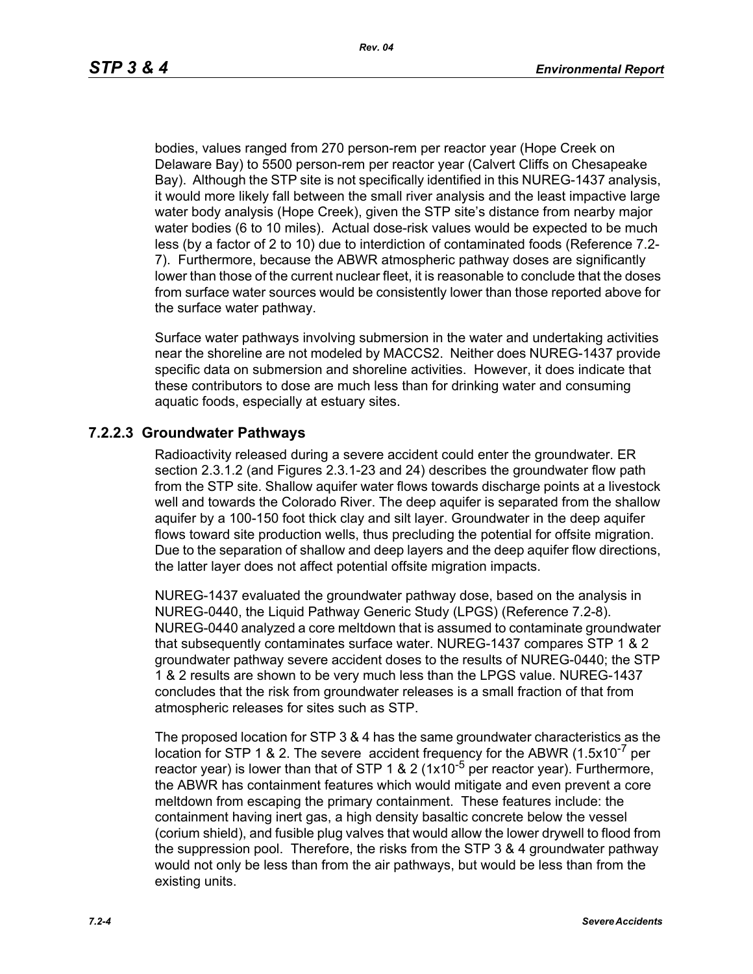bodies, values ranged from 270 person-rem per reactor year (Hope Creek on Delaware Bay) to 5500 person-rem per reactor year (Calvert Cliffs on Chesapeake Bay). Although the STP site is not specifically identified in this NUREG-1437 analysis, it would more likely fall between the small river analysis and the least impactive large water body analysis (Hope Creek), given the STP site's distance from nearby major water bodies (6 to 10 miles). Actual dose-risk values would be expected to be much less (by a factor of 2 to 10) due to interdiction of contaminated foods (Reference 7.2- 7). Furthermore, because the ABWR atmospheric pathway doses are significantly lower than those of the current nuclear fleet, it is reasonable to conclude that the doses from surface water sources would be consistently lower than those reported above for the surface water pathway.

Surface water pathways involving submersion in the water and undertaking activities near the shoreline are not modeled by MACCS2. Neither does NUREG-1437 provide specific data on submersion and shoreline activities. However, it does indicate that these contributors to dose are much less than for drinking water and consuming aquatic foods, especially at estuary sites.

#### **7.2.2.3 Groundwater Pathways**

Radioactivity released during a severe accident could enter the groundwater. ER section 2.3.1.2 (and Figures 2.3.1-23 and 24) describes the groundwater flow path from the STP site. Shallow aquifer water flows towards discharge points at a livestock well and towards the Colorado River. The deep aquifer is separated from the shallow aquifer by a 100-150 foot thick clay and silt layer. Groundwater in the deep aquifer flows toward site production wells, thus precluding the potential for offsite migration. Due to the separation of shallow and deep layers and the deep aquifer flow directions, the latter layer does not affect potential offsite migration impacts.

NUREG-1437 evaluated the groundwater pathway dose, based on the analysis in NUREG-0440, the Liquid Pathway Generic Study (LPGS) (Reference 7.2-8). NUREG-0440 analyzed a core meltdown that is assumed to contaminate groundwater that subsequently contaminates surface water. NUREG-1437 compares STP 1 & 2 groundwater pathway severe accident doses to the results of NUREG-0440; the STP 1 & 2 results are shown to be very much less than the LPGS value. NUREG-1437 concludes that the risk from groundwater releases is a small fraction of that from atmospheric releases for sites such as STP.

The proposed location for STP 3 & 4 has the same groundwater characteristics as the location for STP 1 & 2. The severe accident frequency for the ABWR  $(1.5x10<sup>-7</sup>$  per reactor year) is lower than that of STP 1 & 2 (1x10<sup>-5</sup> per reactor year). Furthermore, the ABWR has containment features which would mitigate and even prevent a core meltdown from escaping the primary containment. These features include: the containment having inert gas, a high density basaltic concrete below the vessel (corium shield), and fusible plug valves that would allow the lower drywell to flood from the suppression pool. Therefore, the risks from the STP 3 & 4 groundwater pathway would not only be less than from the air pathways, but would be less than from the existing units.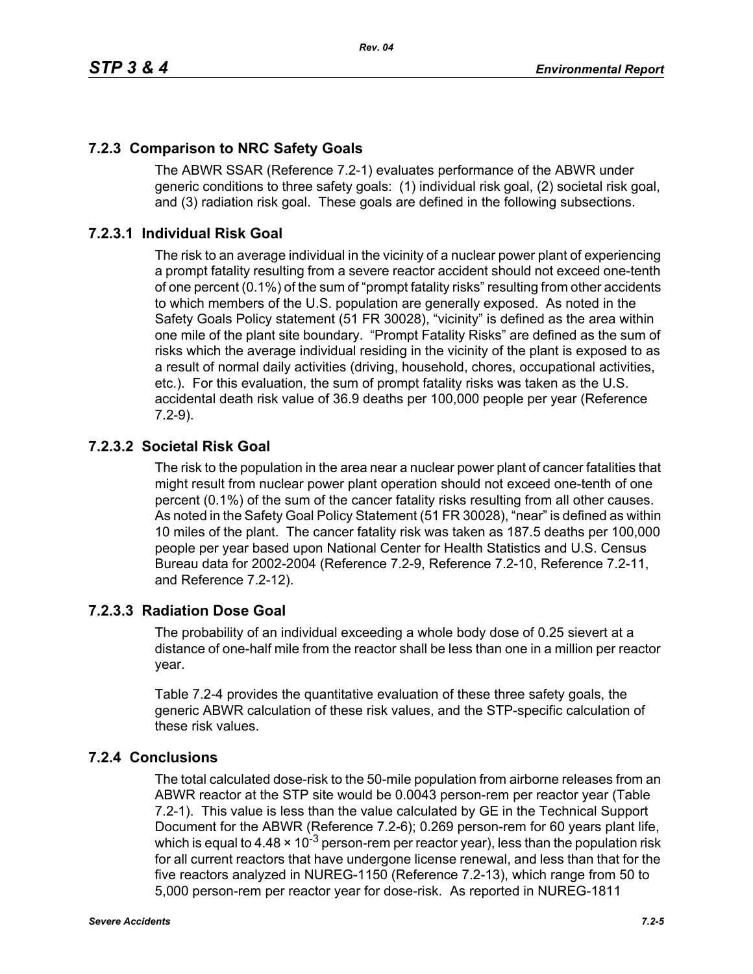# **7.2.3 Comparison to NRC Safety Goals**

The ABWR SSAR (Reference 7.2-1) evaluates performance of the ABWR under generic conditions to three safety goals: (1) individual risk goal, (2) societal risk goal, and (3) radiation risk goal. These goals are defined in the following subsections.

### **7.2.3.1 Individual Risk Goal**

The risk to an average individual in the vicinity of a nuclear power plant of experiencing a prompt fatality resulting from a severe reactor accident should not exceed one-tenth of one percent (0.1%) of the sum of "prompt fatality risks" resulting from other accidents to which members of the U.S. population are generally exposed. As noted in the Safety Goals Policy statement (51 FR 30028), "vicinity" is defined as the area within one mile of the plant site boundary. "Prompt Fatality Risks" are defined as the sum of risks which the average individual residing in the vicinity of the plant is exposed to as a result of normal daily activities (driving, household, chores, occupational activities, etc.). For this evaluation, the sum of prompt fatality risks was taken as the U.S. accidental death risk value of 36.9 deaths per 100,000 people per year (Reference 7.2-9).

### **7.2.3.2 Societal Risk Goal**

The risk to the population in the area near a nuclear power plant of cancer fatalities that might result from nuclear power plant operation should not exceed one-tenth of one percent (0.1%) of the sum of the cancer fatality risks resulting from all other causes. As noted in the Safety Goal Policy Statement (51 FR 30028), "near" is defined as within 10 miles of the plant. The cancer fatality risk was taken as 187.5 deaths per 100,000 people per year based upon National Center for Health Statistics and U.S. Census Bureau data for 2002-2004 (Reference 7.2-9, Reference 7.2-10, Reference 7.2-11, and Reference 7.2-12).

### **7.2.3.3 Radiation Dose Goal**

The probability of an individual exceeding a whole body dose of 0.25 sievert at a distance of one-half mile from the reactor shall be less than one in a million per reactor year.

Table 7.2-4 provides the quantitative evaluation of these three safety goals, the generic ABWR calculation of these risk values, and the STP-specific calculation of these risk values.

### **7.2.4 Conclusions**

The total calculated dose-risk to the 50-mile population from airborne releases from an ABWR reactor at the STP site would be 0.0043 person-rem per reactor year (Table 7.2-1). This value is less than the value calculated by GE in the Technical Support Document for the ABWR (Reference 7.2-6); 0.269 person-rem for 60 years plant life, which is equal to 4.48  $\times$  10<sup>-3</sup> person-rem per reactor year), less than the population risk for all current reactors that have undergone license renewal, and less than that for the five reactors analyzed in NUREG-1150 (Reference 7.2-13), which range from 50 to 5,000 person-rem per reactor year for dose-risk. As reported in NUREG-1811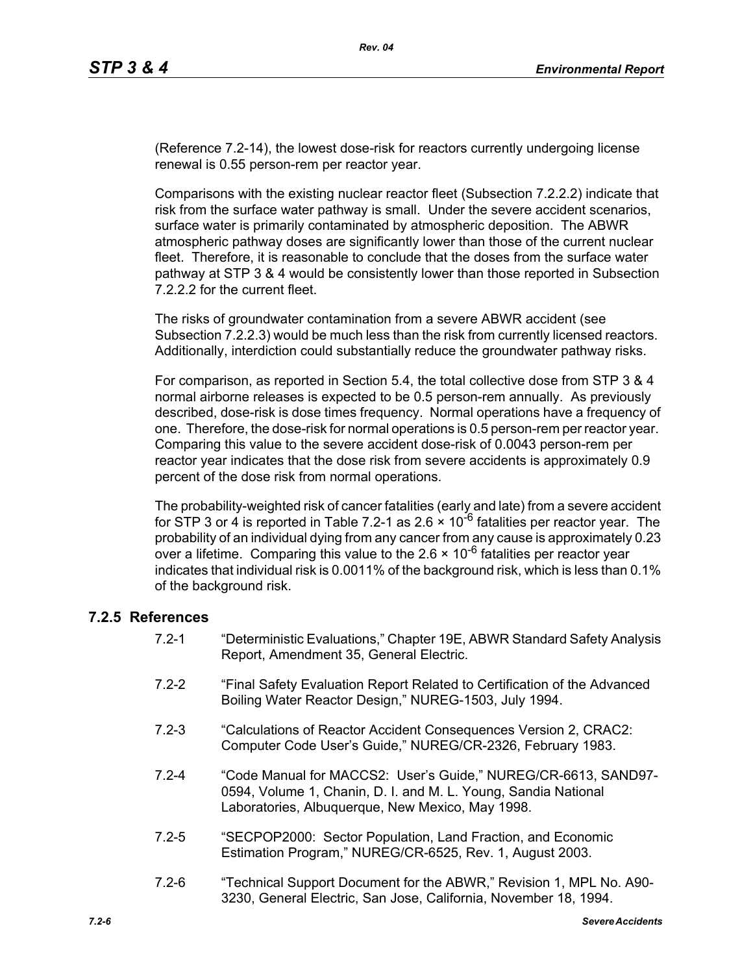(Reference 7.2-14), the lowest dose-risk for reactors currently undergoing license renewal is 0.55 person-rem per reactor year.

Comparisons with the existing nuclear reactor fleet (Subsection 7.2.2.2) indicate that risk from the surface water pathway is small. Under the severe accident scenarios, surface water is primarily contaminated by atmospheric deposition. The ABWR atmospheric pathway doses are significantly lower than those of the current nuclear fleet. Therefore, it is reasonable to conclude that the doses from the surface water pathway at STP 3 & 4 would be consistently lower than those reported in Subsection 7.2.2.2 for the current fleet.

The risks of groundwater contamination from a severe ABWR accident (see Subsection 7.2.2.3) would be much less than the risk from currently licensed reactors. Additionally, interdiction could substantially reduce the groundwater pathway risks.

For comparison, as reported in Section 5.4, the total collective dose from STP 3 & 4 normal airborne releases is expected to be 0.5 person-rem annually. As previously described, dose-risk is dose times frequency. Normal operations have a frequency of one. Therefore, the dose-risk for normal operations is 0.5 person-rem per reactor year. Comparing this value to the severe accident dose-risk of 0.0043 person-rem per reactor year indicates that the dose risk from severe accidents is approximately 0.9 percent of the dose risk from normal operations.

The probability-weighted risk of cancer fatalities (early and late) from a severe accident for STP 3 or 4 is reported in Table 7.2-1 as 2.6  $\times$  10<sup>-6</sup> fatalities per reactor year. The probability of an individual dying from any cancer from any cause is approximately 0.23 over a lifetime. Comparing this value to the  $2.6 \times 10^{-6}$  fatalities per reactor year indicates that individual risk is 0.0011% of the background risk, which is less than 0.1% of the background risk.

#### **7.2.5 References**

- 7.2-1 "Deterministic Evaluations," Chapter 19E, ABWR Standard Safety Analysis Report, Amendment 35, General Electric.
- 7.2-2 "Final Safety Evaluation Report Related to Certification of the Advanced Boiling Water Reactor Design," NUREG-1503, July 1994.
- 7.2-3 "Calculations of Reactor Accident Consequences Version 2, CRAC2: Computer Code User's Guide," NUREG/CR-2326, February 1983.
- 7.2-4 "Code Manual for MACCS2: User's Guide," NUREG/CR-6613, SAND97- 0594, Volume 1, Chanin, D. I. and M. L. Young, Sandia National Laboratories, Albuquerque, New Mexico, May 1998.
- 7.2-5 "SECPOP2000: Sector Population, Land Fraction, and Economic Estimation Program," NUREG/CR-6525, Rev. 1, August 2003.
- 7.2-6 "Technical Support Document for the ABWR," Revision 1, MPL No. A90- 3230, General Electric, San Jose, California, November 18, 1994.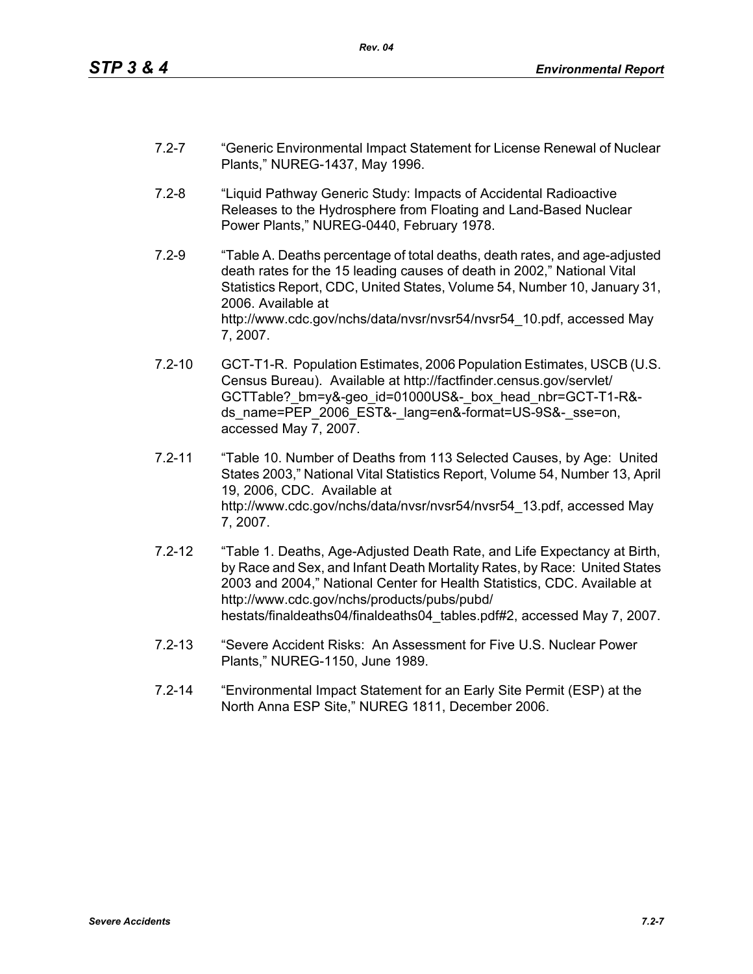- 7.2-7 "Generic Environmental Impact Statement for License Renewal of Nuclear Plants," NUREG-1437, May 1996.
- 7.2-8 "Liquid Pathway Generic Study: Impacts of Accidental Radioactive Releases to the Hydrosphere from Floating and Land-Based Nuclear Power Plants," NUREG-0440, February 1978.
- 7.2-9 "Table A. Deaths percentage of total deaths, death rates, and age-adjusted death rates for the 15 leading causes of death in 2002," National Vital Statistics Report, CDC, United States, Volume 54, Number 10, January 31, 2006. Available at http://www.cdc.gov/nchs/data/nvsr/nvsr54/nvsr54\_10.pdf, accessed May 7, 2007.
- 7.2-10 GCT-T1-R. Population Estimates, 2006 Population Estimates, USCB (U.S. Census Bureau). Available at http://factfinder.census.gov/servlet/ GCTTable? bm=y&-geo\_id=01000US&-\_box\_head\_nbr=GCT-T1-R&ds\_name=PEP\_2006\_EST&-\_lang=en&-format=US-9S&-\_sse=on. accessed May 7, 2007.
- 7.2-11 "Table 10. Number of Deaths from 113 Selected Causes, by Age: United States 2003," National Vital Statistics Report, Volume 54, Number 13, April 19, 2006, CDC. Available at http://www.cdc.gov/nchs/data/nvsr/nvsr54/nvsr54\_13.pdf, accessed May 7, 2007.
- 7.2-12 "Table 1. Deaths, Age-Adjusted Death Rate, and Life Expectancy at Birth, by Race and Sex, and Infant Death Mortality Rates, by Race: United States 2003 and 2004," National Center for Health Statistics, CDC. Available at http://www.cdc.gov/nchs/products/pubs/pubd/ hestats/finaldeaths04/finaldeaths04\_tables.pdf#2, accessed May 7, 2007.
- 7.2-13 "Severe Accident Risks: An Assessment for Five U.S. Nuclear Power Plants," NUREG-1150, June 1989.
- 7.2-14 "Environmental Impact Statement for an Early Site Permit (ESP) at the North Anna ESP Site," NUREG 1811, December 2006.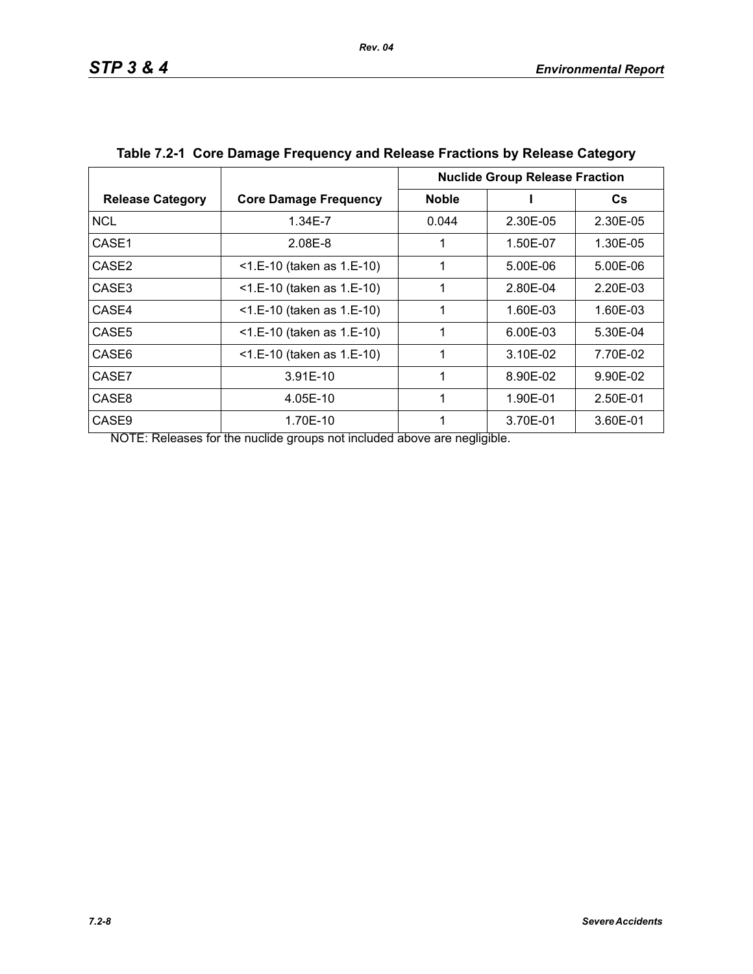|                         |                              | <b>Nuclide Group Release Fraction</b> |          |          |
|-------------------------|------------------------------|---------------------------------------|----------|----------|
| <b>Release Category</b> | <b>Core Damage Frequency</b> | <b>Noble</b>                          |          | Cs.      |
| <b>NCL</b>              | 1.34E-7                      | 0.044                                 | 2.30E-05 | 2.30E-05 |
| CASE1                   | 2.08E-8                      |                                       | 1.50E-07 | 1.30E-05 |
| CASE <sub>2</sub>       | $<$ 1.E-10 (taken as 1.E-10) | 1                                     | 5.00E-06 | 5.00E-06 |
| CASE3                   | $<$ 1.E-10 (taken as 1.E-10) | 1                                     | 2.80E-04 | 2.20E-03 |
| CASE4                   | <1.E-10 (taken as 1.E-10)    | 1                                     | 1.60E-03 | 1.60E-03 |
| CASE <sub>5</sub>       | $<$ 1.E-10 (taken as 1.E-10) |                                       | 6.00E-03 | 5.30E-04 |
| CASE6                   | $<$ 1.E-10 (taken as 1.E-10) | 1                                     | 3.10E-02 | 7.70E-02 |
| CASE7                   | $3.91E-10$                   | 1                                     | 8.90E-02 | 9.90E-02 |
| CASE8                   | 4.05E-10                     | 1                                     | 1.90E-01 | 2.50E-01 |
| CASE <sub>9</sub>       | 1.70E-10                     |                                       | 3.70E-01 | 3.60E-01 |

| Table 7.2-1 Core Damage Frequency and Release Fractions by Release Category |  |
|-----------------------------------------------------------------------------|--|
|                                                                             |  |

NOTE: Releases for the nuclide groups not included above are negligible.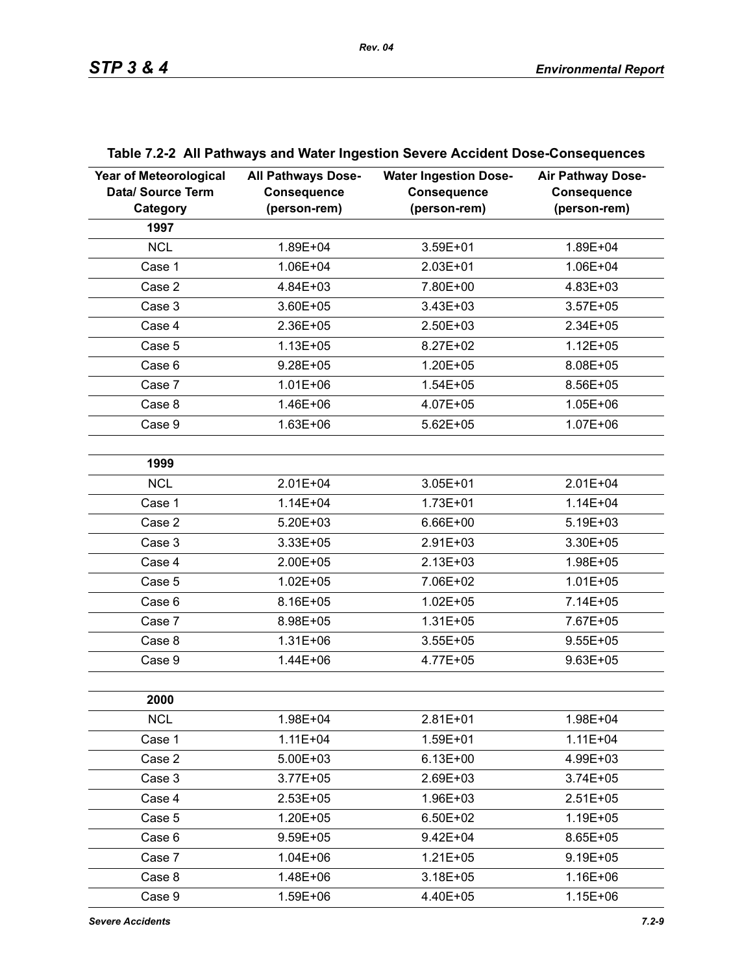| <b>Year of Meteorological</b><br>Data/ Source Term<br>Category | <b>All Pathways Dose-</b><br><b>Consequence</b><br>(person-rem) | <b>Water Ingestion Dose-</b><br><b>Consequence</b><br>(person-rem) | <b>Air Pathway Dose-</b><br><b>Consequence</b><br>(person-rem) |
|----------------------------------------------------------------|-----------------------------------------------------------------|--------------------------------------------------------------------|----------------------------------------------------------------|
| 1997                                                           |                                                                 |                                                                    |                                                                |
| <b>NCL</b>                                                     | 1.89E+04                                                        | 3.59E+01                                                           | 1.89E+04                                                       |
| Case 1                                                         | 1.06E+04                                                        | 2.03E+01                                                           | 1.06E+04                                                       |
| Case 2                                                         | 4.84E+03                                                        | 7.80E+00                                                           | 4.83E+03                                                       |
| Case 3                                                         | 3.60E+05                                                        | 3.43E+03                                                           | $3.57E + 05$                                                   |
| Case 4                                                         | 2.36E+05                                                        | 2.50E+03                                                           | 2.34E+05                                                       |
| Case 5                                                         | $1.13E + 05$                                                    | 8.27E+02                                                           | $1.12E + 05$                                                   |
| Case 6                                                         | $9.28E + 05$                                                    | $1.20E + 05$                                                       | 8.08E+05                                                       |
| Case 7                                                         | $1.01E + 06$                                                    | $1.54E + 05$                                                       | 8.56E+05                                                       |
| Case 8                                                         | 1.46E+06                                                        | 4.07E+05                                                           | $1.05E + 06$                                                   |
| Case 9                                                         | $1.63E + 06$                                                    | $5.62E + 05$                                                       | $1.07E + 06$                                                   |
|                                                                |                                                                 |                                                                    |                                                                |
| 1999                                                           |                                                                 |                                                                    |                                                                |
| <b>NCL</b>                                                     | 2.01E+04                                                        | 3.05E+01                                                           | $2.01E + 04$                                                   |
| Case 1                                                         | $1.14E + 04$                                                    | $1.73E + 01$                                                       | $1.14E + 04$                                                   |
| Case 2                                                         | $5.20E + 03$                                                    | 6.66E+00                                                           | 5.19E+03                                                       |
| Case 3                                                         | 3.33E+05                                                        | 2.91E+03                                                           | 3.30E+05                                                       |
| Case 4                                                         | 2.00E+05                                                        | $2.13E + 03$                                                       | 1.98E+05                                                       |
| Case 5                                                         | $1.02E + 05$                                                    | 7.06E+02                                                           | $1.01E + 05$                                                   |
| Case 6                                                         | 8.16E+05                                                        | $1.02E + 05$                                                       | 7.14E+05                                                       |
| Case 7                                                         | 8.98E+05                                                        | $1.31E + 05$                                                       | 7.67E+05                                                       |
| Case 8                                                         | $1.31E + 06$                                                    | $3.55E + 05$                                                       | $9.55E + 05$                                                   |
| Case 9                                                         | 1.44E+06                                                        | 4.77E+05                                                           | $9.63E + 05$                                                   |
|                                                                |                                                                 |                                                                    |                                                                |
| 2000                                                           |                                                                 |                                                                    |                                                                |
| <b>NCL</b>                                                     | 1.98E+04                                                        | $2.81E + 01$                                                       | 1.98E+04                                                       |
| Case 1                                                         | $1.11E + 04$                                                    | 1.59E+01                                                           | $1.11E + 04$                                                   |
| Case 2                                                         | $5.00E + 03$                                                    | $6.13E + 00$                                                       | 4.99E+03                                                       |
| Case 3                                                         | $3.77E + 05$                                                    | 2.69E+03                                                           | $3.74E + 05$                                                   |
| Case 4                                                         | $2.53E + 05$                                                    | 1.96E+03                                                           | $2.51E+05$                                                     |
| Case 5                                                         | 1.20E+05                                                        | 6.50E+02                                                           | $1.19E + 05$                                                   |
| Case 6                                                         | $9.59E + 05$                                                    | $9.42E + 04$                                                       | 8.65E+05                                                       |
| Case 7                                                         | $1.04E + 06$                                                    | $1.21E + 05$                                                       | $9.19E + 05$                                                   |
| Case 8                                                         | 1.48E+06                                                        | $3.18E + 05$                                                       | 1.16E+06                                                       |
| Case 9                                                         | 1.59E+06                                                        | 4.40E+05                                                           | 1.15E+06                                                       |

# **Table 7.2-2 All Pathways and Water Ingestion Severe Accident Dose-Consequences**